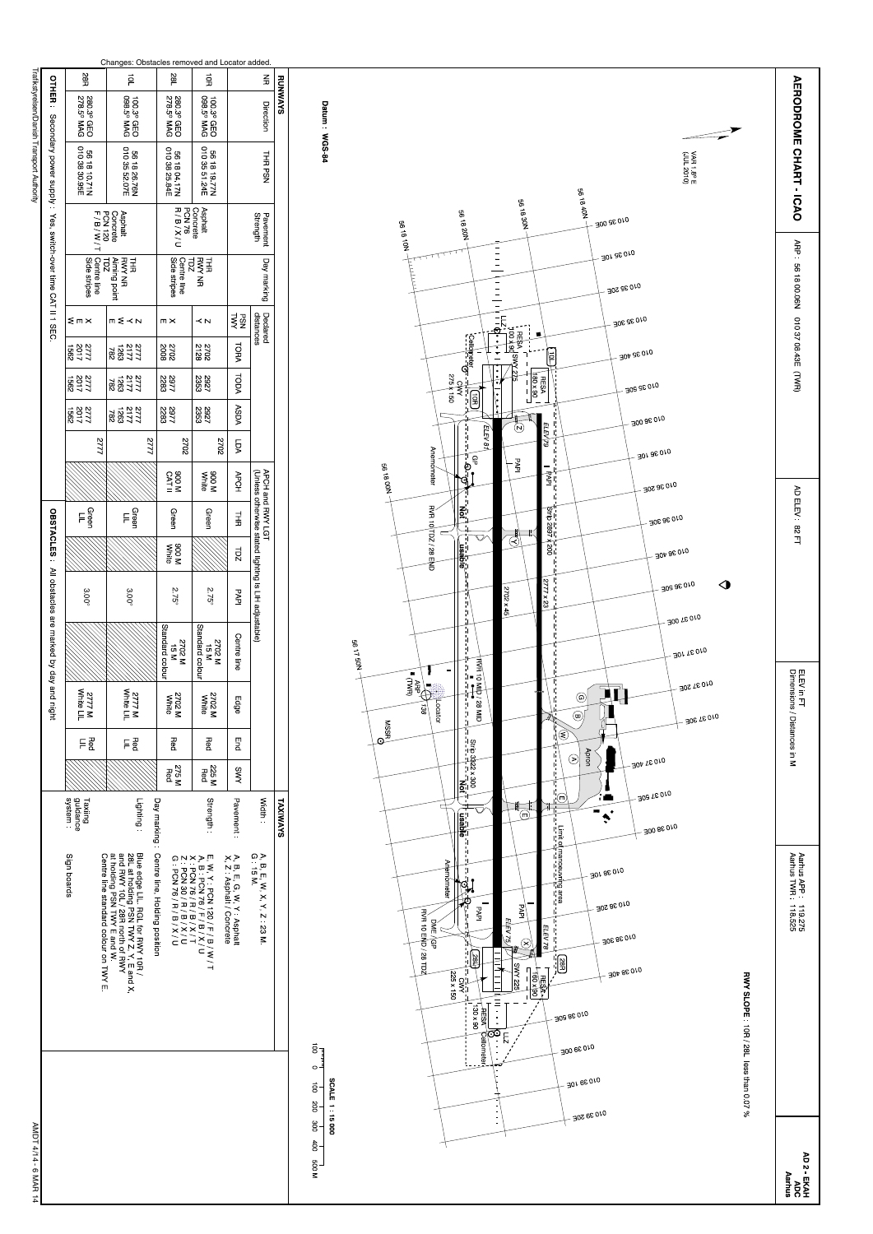| AMDT 4/14 - 6 MAR 14                                                                                                                                                                                                                                                                                                                                                                                                                                                                                                                                                                                                                                                     |                                                                                                                                                                               |                                                                                                          |                                                                                                                                                                                                                                   |                                                                                                       |                                                                                                                       |                                                                                                                               |                                                                                   |                                                                                                                             |                                                                           |                                                                                                                                       |                                                  |                                           |                                                  |                                                                 |                                                    | Γrafikstyrelsen/Danish Transport Authority |                                                    |
|--------------------------------------------------------------------------------------------------------------------------------------------------------------------------------------------------------------------------------------------------------------------------------------------------------------------------------------------------------------------------------------------------------------------------------------------------------------------------------------------------------------------------------------------------------------------------------------------------------------------------------------------------------------------------|-------------------------------------------------------------------------------------------------------------------------------------------------------------------------------|----------------------------------------------------------------------------------------------------------|-----------------------------------------------------------------------------------------------------------------------------------------------------------------------------------------------------------------------------------|-------------------------------------------------------------------------------------------------------|-----------------------------------------------------------------------------------------------------------------------|-------------------------------------------------------------------------------------------------------------------------------|-----------------------------------------------------------------------------------|-----------------------------------------------------------------------------------------------------------------------------|---------------------------------------------------------------------------|---------------------------------------------------------------------------------------------------------------------------------------|--------------------------------------------------|-------------------------------------------|--------------------------------------------------|-----------------------------------------------------------------|----------------------------------------------------|--------------------------------------------|----------------------------------------------------|
|                                                                                                                                                                                                                                                                                                                                                                                                                                                                                                                                                                                                                                                                          |                                                                                                                                                                               |                                                                                                          | and night                                                                                                                                                                                                                         | marked by day                                                                                         | All obstacles<br>are                                                                                                  | <b>OBSTACLES</b><br>$\bullet$ $\bullet$                                                                                       |                                                                                   |                                                                                                                             |                                                                           |                                                                                                                                       |                                                  | <b>CAT</b><br>$=$<br>$\rightarrow$<br>SEC | switch over time                                 | Yes,                                                            | Secondary power supply                             | <b>OTHER</b>                               |                                                    |
| Sign boards<br>$\blacksquare$                                                                                                                                                                                                                                                                                                                                                                                                                                                                                                                                                                                                                                            | Taxiing<br>guidance<br>system                                                                                                                                                 | 들                                                                                                        | 2777 M<br>White LIL                                                                                                                                                                                                               |                                                                                                       | 3.00°                                                                                                                 |                                                                                                                               | Geen<br>비                                                                         | 2777                                                                                                                        | 2777<br>2017<br>1562                                                      | 2777<br>2017<br>1562                                                                                                                  | 2777<br>2017<br>1562                             | $\leq$ m $\times$                         | Centre line<br>Side stripes                      | $\overline{a}$                                                  | 56 18 10 71N<br>VITS 30 95                         | 280 3° GEO<br>278 5° MAG                   | 28R                                                |
| Blue edge LIL. RGL tor RWY 10R /<br>28L at holding PSN TWY Z, Y, E and X<br>and RWY 10L / 28R north of RWY<br>at holding PSN TWY E and W.<br>Centre line standard colour on TWY E.<br>$\,\times\,$                                                                                                                                                                                                                                                                                                                                                                                                                                                                       | Lighting                                                                                                                                                                      | 들을                                                                                                       | 2777 M<br>White LIL                                                                                                                                                                                                               |                                                                                                       | 3.00°                                                                                                                 |                                                                                                                               | $G$ reen                                                                          | 777                                                                                                                         | 2772<br>281<br>282<br>282                                                 | 2777<br>2312<br>782                                                                                                                   | 25772<br>2821<br>282                             | $m \leq \; < N$                           | THR<br>RWY NR<br>Aiming point<br>TDZ             | Asphalt<br>Concrete<br>PCN 120<br>F / B / W /                   | 56 18 26 76N<br>010 35 52 07E                      | 100 3° GEO<br>098 5° MAG                   | Changes: Obstacles removed and Locator added.<br>ē |
| Centre line, Holding position                                                                                                                                                                                                                                                                                                                                                                                                                                                                                                                                                                                                                                            | Day marking                                                                                                                                                                   | Red<br>275 M<br>Red                                                                                      | 2702 M<br>White                                                                                                                                                                                                                   | Standard colour<br>2702 M<br>N 2072                                                                   | 'n<br>$-55^{\circ}$                                                                                                   | ¥<br>SOO M<br>White                                                                                                           | Gre                                                                               | 2022<br>900 M                                                                                                               | 2977<br>2283                                                              | 2977<br>2283                                                                                                                          | 2702<br>2008                                     | $m \times$                                | Centre line<br>Side stripes                      |                                                                 | $\frac{5}{9}$<br>318 04 17N<br>0 38 25 84E         | 280.3° GEO<br>278.5° MAG                   | 28L                                                |
| Ε, Ν, Υ. ΡΟΝ 120/ Γ. Β/ Ν, Γ<br>Α, Β, ΒΟΝ ΛΡΙΑ ΙΑ ΙΧΙΤ<br>Χ. ΡΟΝ ΛΡΙΑ ΙΑ ΙΧΙΤ<br>Σ. ΡΟΝ ΛΡΙΑ ΙΣ ΙΧΙΤ<br>Ο ΙΝ ΤΟΙ ΤΟΙ ΙΣ ΙΧΙΤ                                                                                                                                                                                                                                                                                                                                                                                                                                                                                                                                             | Strength                                                                                                                                                                      | Red<br>225 M<br>Red                                                                                      | 2702 M<br>White                                                                                                                                                                                                                   | Standard colour<br>2702 M<br>15 M                                                                     | 2.75°                                                                                                                 |                                                                                                                               | Green                                                                             | 2702<br>900 M<br>White                                                                                                      | 2927<br>2353                                                              | 2927<br>2353                                                                                                                          | 2702<br>2128                                     | $\prec$ N                                 | FRA<br>RNA<br>TDZ<br>TDZ                         | Asphalt<br>Concrete<br>PCN 76<br>R / B / X / U                  | 56 18 19 77N<br>010 35 51 24E                      | 100.3° GEO<br>098.5° MAG                   | $\vec{\mathsf B}$                                  |
| $\leq$<br>B, E, G, W, Y . Asphalt<br>Z . Asphalt / Concrete                                                                                                                                                                                                                                                                                                                                                                                                                                                                                                                                                                                                              | Pavement:                                                                                                                                                                     | End<br>SWY                                                                                               | Edge                                                                                                                                                                                                                              | Centre line                                                                                           | PAPI                                                                                                                  | <b>TDZ</b>                                                                                                                    | APCH<br>$\vec{\pm}$                                                               | ГDА                                                                                                                         | <b>ASDA</b>                                                               | TODA                                                                                                                                  | <b>TORA</b>                                      | PSN<br>Y                                  |                                                  |                                                                 |                                                    |                                            |                                                    |
| A, B, E, W, X, Y,<br>G 15 M<br>$\mathbf{N}$<br>23 M                                                                                                                                                                                                                                                                                                                                                                                                                                                                                                                                                                                                                      | <b>Width</b>                                                                                                                                                                  |                                                                                                          |                                                                                                                                                                                                                                   |                                                                                                       | APCH and RWY LGT<br>(Unless otherwise stated lighting is LIH adjustable)                                              |                                                                                                                               |                                                                                   |                                                                                                                             |                                                                           |                                                                                                                                       |                                                  | <b>Declared</b><br>distances              | Day marking                                      | Pavement<br>Strength                                            | THR PSN                                            | Direction                                  | $\widetilde{\exists}$                              |
|                                                                                                                                                                                                                                                                                                                                                                                                                                                                                                                                                                                                                                                                          | <b>TAXIWAYS</b>                                                                                                                                                               |                                                                                                          |                                                                                                                                                                                                                                   |                                                                                                       |                                                                                                                       |                                                                                                                               |                                                                                   |                                                                                                                             |                                                                           |                                                                                                                                       |                                                  |                                           |                                                  |                                                                 |                                                    | <b>RUNWAYS</b>                             |                                                    |
| Limit of manoeuvring area<br>í,<br>Anemómeter<br>30188010<br>Ы<br>$\frac{1}{20}$<br>302 86 010<br>$\overline{\mathsf{PAP}}$<br>PAPI<br>ť.<br>RVR 10 END / 28 TDZ<br>卫<br>DME<br>450.75<br>ELEV 78<br>$-305880r_0$<br>I,<br>$\circledS$<br>କୃ<br>₩<br><u>: D</u><br>$\overline{L}$ in $\tilde{M}$ in $\overline{L}$<br>$\mathbb{B}$<br><b>SWY 225</b><br>$\frac{1}{\sqrt{60}}$<br>304880r0<br>μ<br>$=$ $\frac{1}{2}$<br>$=$ $\frac{1}{2}$<br>$\vec{g}$<br>ම්<br>ミー・<br>$\frac{1}{\sqrt{130 \times 90}}$<br>308880r0<br>$\vec{e}$<br>30098010<br><b>THEFT</b><br>$\circ$<br>01039105<br><b>SCALE</b><br>$\vec{\rm g}$<br>200<br>1 15000<br>0103850E<br>300<br>400<br>N 009 | $\overline{\mathbb{D}}$<br>$308$ TE $0r_0$<br>n a<br><b>AND</b><br>┍<br>ťò<br>$\infty$<br>$\blacksquare$<br>$\mathbf{A}^{\prime}$<br>usable<br>Lisable<br>Þ<br>$-300860$<br>h | ல<br>٠I<br>$\frac{3 \pi \pi}{1000 \times 2000}$<br>Apron<br>ı,<br>$\odot$<br>$010$ $304$ $100$<br>ć<br>μ | $= 1 - 1 - 1 - 1 = 1$<br>$\overleftarrow{\bigoplus}$<br>$\mathbf{H}% _{0}\left( t\right)$<br>T,<br>$^\copyright$<br>Н<br>Locator<br>$\widetilde{138}$<br>$\circledcirc$<br>$\mathbb{Z}$<br>$-305$ TE $0$ to<br>÷.<br>MSSR<br>MSSR | Ш<br>'n<br>NOS 41 995<br>×,<br><b>301 TE 010</b><br>Æ<br>μ<br>٠<br><b>ARP</b><br>Ľ<br>$302$ TE $0r_0$ | $\frac{1}{2777 \times 23}$<br>$\triangleleft$<br>$303$ as $010$<br>2702 x 45<br>p<br>p<br>$-300$ $10^{10}$<br>Þ<br>٠, | $\frac{2897}{2897}$ $\frac{1}{200}$<br>$\circ$<br>TDZ / 28 EMD<br>$\triangledown$<br>ず<br>-il<br>$rac{1}{2}$<br>30488010<br>Þ | 30295010<br>ť,<br>ť<br>RVR1<br>isi<br>I<br>$rac{1}{2}$<br>$010^{36}$ 30 $30^{10}$ | л<br>Anemómeter<br>ń<br>3018010<br>ရှ<br>ń<br><b>PAP</b><br>$\mathbf{\Theta}$ $\mathbf{\Theta}$<br>56 18 00M<br>$\vec{B}^+$ | 01096000<br>J,<br>ELEV <sub>79</sub><br>ELEV 81<br>$(\omega)$<br>T.<br>'n | $\frac{1}{\sqrt{1880 \times 90}}$<br>275<br>σ<br>$\Omega$<br>٠.<br>$303$ de $010$<br>$\overline{\cdot}$<br>⋛<br>:9<br>$\overline{50}$ | ceilometer<br>Ceilometer<br>E<br>$304$ as $0r_0$ | $305$ as $0r_0$<br>$\blacksquare$         | $\frac{1}{2}$<br>TILL<br>$\frac{1}{1}$<br>302500 | 561830M<br>18 18 20M<br>30096010<br>$-1018104 -$<br>$-30135010$ | $(0107 \text{ }\text{JUV})$ So I Bo E<br>56 18 40N | Datum WGS-84<br>$\overline{\phantom{a}}$   |                                                    |
| RWY<br>SLOPE: 10R / 28L less than 0.07 %                                                                                                                                                                                                                                                                                                                                                                                                                                                                                                                                                                                                                                 |                                                                                                                                                                               |                                                                                                          |                                                                                                                                                                                                                                   |                                                                                                       |                                                                                                                       |                                                                                                                               |                                                                                   |                                                                                                                             |                                                                           |                                                                                                                                       |                                                  |                                           |                                                  |                                                                 |                                                    |                                            |                                                    |

AERODROME CHART - ICAO

ARP: 56 18 00.06N 010 37 08 43E (TWR)

AD ELEV 82 FT

ELEV in FT<br>Dimensions / Distances in M



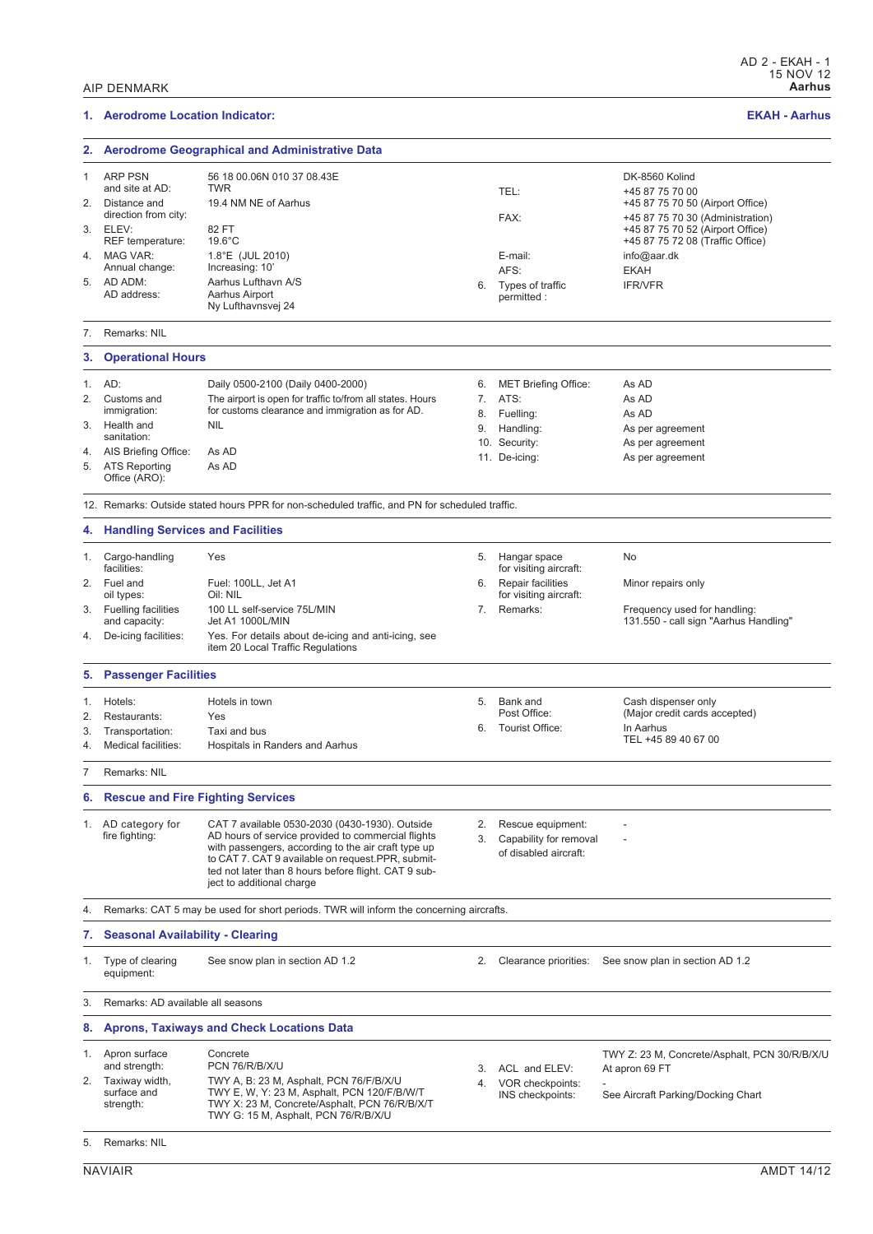| 1. | <b>Aerodrome Location Indicator:</b>        |                                                                                                           |    |                                                    | <b>EKAH - Aarhus</b>                                                  |
|----|---------------------------------------------|-----------------------------------------------------------------------------------------------------------|----|----------------------------------------------------|-----------------------------------------------------------------------|
|    |                                             | <b>Aerodrome Geographical and Administrative Data</b>                                                     |    |                                                    |                                                                       |
| 1. | <b>ARP PSN</b>                              | 56 18 00.06N 010 37 08.43E                                                                                |    |                                                    | DK-8560 Kolind                                                        |
| 2. | and site at AD:<br>Distance and             | <b>TWR</b><br>19.4 NM NE of Aarhus                                                                        |    | TEL:                                               | +45 87 75 70 00<br>+45 87 75 70 50 (Airport Office)                   |
|    | direction from city:                        |                                                                                                           |    | FAX:                                               | +45 87 75 70 30 (Administration)                                      |
| 3. | ELEV:<br>REF temperature:                   | 82 FT<br>$19.6^{\circ}$ C                                                                                 |    |                                                    | +45 87 75 70 52 (Airport Office)<br>+45 87 75 72 08 (Traffic Office)  |
| 4. | MAG VAR:                                    | 1.8°E (JUL 2010)                                                                                          |    | E-mail:                                            | info@aar.dk                                                           |
|    | Annual change:                              | Increasing: 10'                                                                                           |    | AFS:                                               | <b>EKAH</b>                                                           |
| 5. | AD ADM:<br>AD address:                      | Aarhus Lufthavn A/S<br>Aarhus Airport<br>Ny Lufthavnsvej 24                                               | 6. | Types of traffic<br>permitted:                     | <b>IFR/VFR</b>                                                        |
|    | 7. Remarks: NIL                             |                                                                                                           |    |                                                    |                                                                       |
| 3. | <b>Operational Hours</b>                    |                                                                                                           |    |                                                    |                                                                       |
| 1. | AD:                                         | Daily 0500-2100 (Daily 0400-2000)                                                                         | 6. | <b>MET Briefing Office:</b>                        | As AD                                                                 |
| 2. | Customs and                                 | The airport is open for traffic to/from all states. Hours                                                 | 7. | ATS:                                               | As AD                                                                 |
| 3. | immigration:<br>Health and                  | for customs clearance and immigration as for AD.<br><b>NIL</b>                                            | 8. | Fuelling:                                          | As AD                                                                 |
|    | sanitation:                                 |                                                                                                           | 9. | Handling:<br>10. Security:                         | As per agreement<br>As per agreement                                  |
| 4. | AIS Briefing Office:                        | As AD                                                                                                     |    | 11. De-icing:                                      | As per agreement                                                      |
| 5. | <b>ATS Reporting</b><br>Office (ARO):       | As AD                                                                                                     |    |                                                    |                                                                       |
|    |                                             | 12. Remarks: Outside stated hours PPR for non-scheduled traffic, and PN for scheduled traffic.            |    |                                                    |                                                                       |
| 4. | <b>Handling Services and Facilities</b>     |                                                                                                           |    |                                                    |                                                                       |
| 1. | Cargo-handling<br>facilities:               | Yes                                                                                                       | 5. | Hangar space<br>for visiting aircraft:             | No                                                                    |
| 2. | Fuel and<br>oil types:                      | Fuel: 100LL, Jet A1<br>Oil: NIL                                                                           | 6. | <b>Repair facilities</b><br>for visiting aircraft: | Minor repairs only                                                    |
| 3. | <b>Fuelling facilities</b><br>and capacity: | 100 LL self-service 75L/MIN<br>Jet A1 1000L/MIN                                                           | 7. | Remarks:                                           | Frequency used for handling:<br>131.550 - call sign "Aarhus Handling" |
| 4. | De-icing facilities:                        | Yes. For details about de-icing and anti-icing, see<br>item 20 Local Traffic Regulations                  |    |                                                    |                                                                       |
|    | 5. Passenger Facilities                     |                                                                                                           |    |                                                    |                                                                       |
| 1. | Hotels:                                     | Hotels in town                                                                                            |    | 5. Bank and                                        | Cash dispenser only                                                   |
| 2. | Restaurants:                                | Yes                                                                                                       |    | Post Office:                                       | (Major credit cards accepted)                                         |
| 3. | Transportation:                             | Taxi and bus                                                                                              | 6. | Tourist Office:                                    | In Aarhus<br>TEL +45 89 40 67 00                                      |
| 4. | Medical facilities:                         | Hospitals in Randers and Aarhus                                                                           |    |                                                    |                                                                       |
|    | Remarks: NIL                                |                                                                                                           |    |                                                    |                                                                       |
|    | <b>Rescue and Fire Fighting Services</b>    |                                                                                                           |    |                                                    |                                                                       |
|    | 1. AD category for<br>fire fighting:        | CAT 7 available 0530-2030 (0430-1930). Outside<br>AD hours of service provided to commercial flights      | 2. | Rescue equipment:                                  |                                                                       |
|    |                                             | with passengers, according to the air craft type up                                                       | 3. | Capability for removal<br>of disabled aircraft:    |                                                                       |
|    |                                             | to CAT 7. CAT 9 available on request.PPR, submit-<br>ted not later than 8 hours before flight. CAT 9 sub- |    |                                                    |                                                                       |
|    |                                             | ject to additional charge                                                                                 |    |                                                    |                                                                       |
| 4. |                                             | Remarks: CAT 5 may be used for short periods. TWR will inform the concerning aircrafts.                   |    |                                                    |                                                                       |
| 7. | <b>Seasonal Availability - Clearing</b>     |                                                                                                           |    |                                                    |                                                                       |
| 1. | Type of clearing<br>equipment:              | See snow plan in section AD 1.2                                                                           | 2. | Clearance priorities:                              | See snow plan in section AD 1.2                                       |
| 3. | Remarks: AD available all seasons           |                                                                                                           |    |                                                    |                                                                       |
| 8. |                                             | <b>Aprons, Taxiways and Check Locations Data</b>                                                          |    |                                                    |                                                                       |
|    | 1. Apron surface<br>and strength:           | Concrete<br>PCN 76/R/B/X/U                                                                                | 3. | ACL and ELEV:                                      | TWY Z: 23 M, Concrete/Asphalt, PCN 30/R/B/X/U                         |
| 2. | Taxiway width,                              | TWY A, B: 23 M, Asphalt, PCN 76/F/B/X/U                                                                   | 4. | VOR checkpoints:                                   | At apron 69 FT                                                        |
|    | surface and<br>$n$ tronath                  | TWY E, W, Y: 23 M, Asphalt, PCN 120/F/B/W/T<br>TWV V: 22 M Concrete/Appholt DCN 76/D/P/V/T                |    | INS checkpoints:                                   | See Aircraft Parking/Docking Chart                                    |

5. Remarks: NIL

strength: TWY X: 23 M, Concrete/Asphalt, PCN 76/R/B/X/T

TWY G: 15 M, Asphalt, PCN 76/R/B/X/U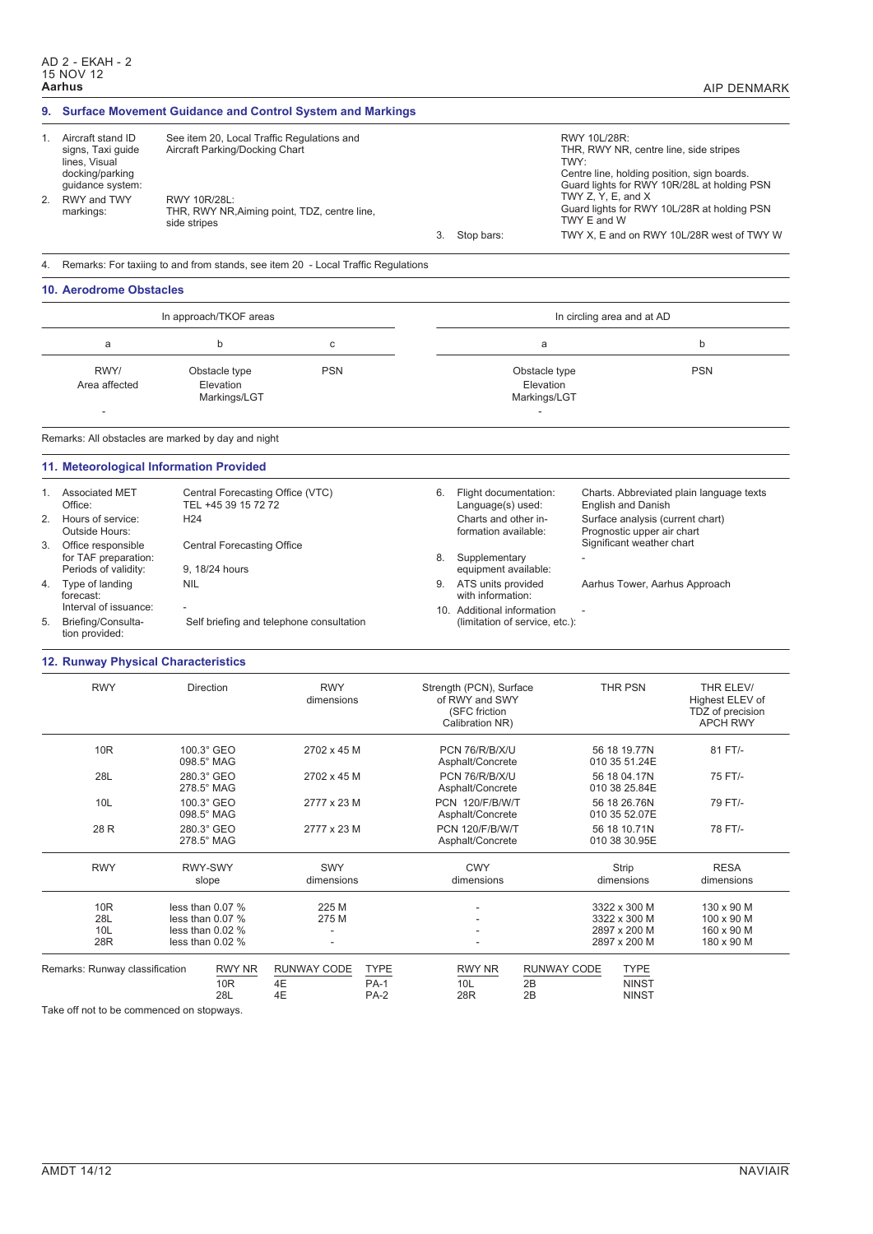|          | <b>Surface Movement Guidance and Control System and Markings</b>                                                           |                              |                                                                              |                                                                                            |                                 |    |                                                                               |                                                              |                                                             |                                                                |                                                                                                                                                                                                                                  |
|----------|----------------------------------------------------------------------------------------------------------------------------|------------------------------|------------------------------------------------------------------------------|--------------------------------------------------------------------------------------------|---------------------------------|----|-------------------------------------------------------------------------------|--------------------------------------------------------------|-------------------------------------------------------------|----------------------------------------------------------------|----------------------------------------------------------------------------------------------------------------------------------------------------------------------------------------------------------------------------------|
| 1.<br>2. | Aircraft stand ID<br>signs, Taxi guide<br>lines, Visual<br>docking/parking<br>quidance system:<br>RWY and TWY<br>markings: | RWY 10R/28L:<br>side stripes | Aircraft Parking/Docking Chart                                               | See item 20, Local Traffic Regulations and<br>THR, RWY NR, Aiming point, TDZ, centre line, |                                 |    | 3. Stop bars:                                                                 |                                                              | RWY 10L/28R:<br>TWY:<br>TWY Z, Y, E, and $X$<br>TWY E and W |                                                                | THR, RWY NR, centre line, side stripes<br>Centre line, holding position, sign boards.<br>Guard lights for RWY 10R/28L at holding PSN<br>Guard lights for RWY 10L/28R at holding PSN<br>TWY X, E and on RWY 10L/28R west of TWY W |
| 4.       | Remarks: For taxiing to and from stands, see item 20 - Local Traffic Regulations                                           |                              |                                                                              |                                                                                            |                                 |    |                                                                               |                                                              |                                                             |                                                                |                                                                                                                                                                                                                                  |
|          | 10. Aerodrome Obstacles                                                                                                    |                              |                                                                              |                                                                                            |                                 |    |                                                                               |                                                              |                                                             |                                                                |                                                                                                                                                                                                                                  |
|          |                                                                                                                            |                              | In approach/TKOF areas                                                       |                                                                                            |                                 |    |                                                                               |                                                              |                                                             | In circling area and at AD                                     |                                                                                                                                                                                                                                  |
|          | a                                                                                                                          |                              | b                                                                            | $\mathbf c$                                                                                |                                 |    |                                                                               | a                                                            |                                                             |                                                                | b                                                                                                                                                                                                                                |
|          | RWY/<br>Area affected                                                                                                      |                              | Obstacle type<br>Elevation<br>Markings/LGT                                   | <b>PSN</b>                                                                                 |                                 |    |                                                                               | Obstacle type<br>Elevation<br>Markings/LGT                   |                                                             |                                                                | <b>PSN</b>                                                                                                                                                                                                                       |
|          | Remarks: All obstacles are marked by day and night                                                                         |                              |                                                                              |                                                                                            |                                 |    |                                                                               |                                                              |                                                             |                                                                |                                                                                                                                                                                                                                  |
|          | 11. Meteorological Information Provided                                                                                    |                              |                                                                              |                                                                                            |                                 |    |                                                                               |                                                              |                                                             |                                                                |                                                                                                                                                                                                                                  |
| 1.       | <b>Associated MET</b><br>Office:                                                                                           |                              | TEL +45 39 15 72 72                                                          | Central Forecasting Office (VTC)                                                           |                                 | 6. | Language(s) used:                                                             | Flight documentation:                                        |                                                             | <b>English and Danish</b>                                      | Charts. Abbreviated plain language texts                                                                                                                                                                                         |
|          | 2. Hours of service:<br><b>Outside Hours:</b>                                                                              | H <sub>24</sub>              |                                                                              |                                                                                            |                                 |    | Charts and other in-<br>formation available:                                  |                                                              |                                                             | Surface analysis (current chart)<br>Prognostic upper air chart |                                                                                                                                                                                                                                  |
| 3.       | Office responsible<br>for TAF preparation:<br>Periods of validity:                                                         |                              | <b>Central Forecasting Office</b><br>9, 18/24 hours                          |                                                                                            |                                 | 8. | Supplementary                                                                 | equipment available:                                         |                                                             | Significant weather chart                                      |                                                                                                                                                                                                                                  |
| 4.<br>5. | Type of landing<br>forecast:<br>Interval of issuance:<br>Briefing/Consulta-                                                | <b>NIL</b>                   |                                                                              | Self briefing and telephone consultation                                                   |                                 |    | 9. ATS units provided<br>with information:                                    | 10. Additional information<br>(limitation of service, etc.): |                                                             |                                                                | Aarhus Tower, Aarhus Approach                                                                                                                                                                                                    |
|          | tion provided:                                                                                                             |                              |                                                                              |                                                                                            |                                 |    |                                                                               |                                                              |                                                             |                                                                |                                                                                                                                                                                                                                  |
|          | <b>12. Runway Physical Characteristics</b>                                                                                 |                              |                                                                              |                                                                                            |                                 |    |                                                                               |                                                              |                                                             |                                                                |                                                                                                                                                                                                                                  |
|          | <b>RWY</b>                                                                                                                 |                              | Direction                                                                    | <b>RWY</b><br>dimensions                                                                   |                                 |    | Strength (PCN), Surface<br>of RWY and SWY<br>(SFC friction<br>Calibration NR) |                                                              |                                                             | <b>THR PSN</b>                                                 | THR ELEV/<br>Highest ELEV of<br>TDZ of precision<br><b>APCH RWY</b>                                                                                                                                                              |
|          | 10 <sub>R</sub>                                                                                                            |                              | 100.3° GEO<br>098.5° MAG                                                     | 2702 x 45 M                                                                                |                                 |    | PCN 76/R/B/X/U<br>Asphalt/Concrete                                            |                                                              |                                                             | 56 18 19.77N<br>010 35 51.24E                                  | 81 FT/-                                                                                                                                                                                                                          |
|          | 28L                                                                                                                        |                              | 280.3° GEO<br>278.5° MAG                                                     | 2702 x 45 M                                                                                |                                 |    | PCN 76/R/B/X/U<br>Asphalt/Concrete                                            |                                                              |                                                             | 56 18 04.17N<br>010 38 25.84E                                  | 75 FT/-                                                                                                                                                                                                                          |
|          | 10L                                                                                                                        |                              | 100.3° GEO<br>098.5° MAG                                                     | 2777 x 23 M                                                                                |                                 |    | PCN 120/F/B/W/T<br>Asphalt/Concrete                                           |                                                              |                                                             | 56 18 26.76N<br>010 35 52.07E                                  | 79 FT/-                                                                                                                                                                                                                          |
|          | 28 R                                                                                                                       |                              | 280.3° GEO<br>278.5° MAG                                                     | 2777 x 23 M                                                                                |                                 |    | PCN 120/F/B/W/T<br>Asphalt/Concrete                                           |                                                              |                                                             | 56 18 10.71N<br>010 38 30.95E                                  | 78 FT/-                                                                                                                                                                                                                          |
|          | <b>RWY</b>                                                                                                                 |                              | RWY-SWY<br>slope                                                             | <b>SWY</b><br>dimensions                                                                   |                                 |    | <b>CWY</b><br>dimensions                                                      |                                                              |                                                             | Strip<br>dimensions                                            | <b>RESA</b><br>dimensions                                                                                                                                                                                                        |
|          | 10 <sub>R</sub><br>28L<br>10L<br>28R                                                                                       |                              | less than 0.07 %<br>less than 0.07 %<br>less than 0.02 %<br>less than 0.02 % | 225 M<br>275 M<br>$\frac{1}{2}$                                                            |                                 |    |                                                                               |                                                              |                                                             | 3322 x 300 M<br>3322 x 300 M<br>2897 x 200 M<br>2897 x 200 M   | 130 x 90 M<br>100 x 90 M<br>160 x 90 M<br>180 x 90 M                                                                                                                                                                             |
|          | Remarks: Runway classification                                                                                             |                              | RWY NR<br>10R<br>28L                                                         | RUNWAY CODE<br>4E<br>4E                                                                    | <b>TYPE</b><br>$PA-1$<br>$PA-2$ |    | RWY NR<br>10L<br>28R                                                          | RUNWAY CODE<br>2B<br>2B                                      |                                                             | <b>TYPE</b><br><b>NINST</b><br><b>NINST</b>                    |                                                                                                                                                                                                                                  |

Take off not to be commenced on stopways.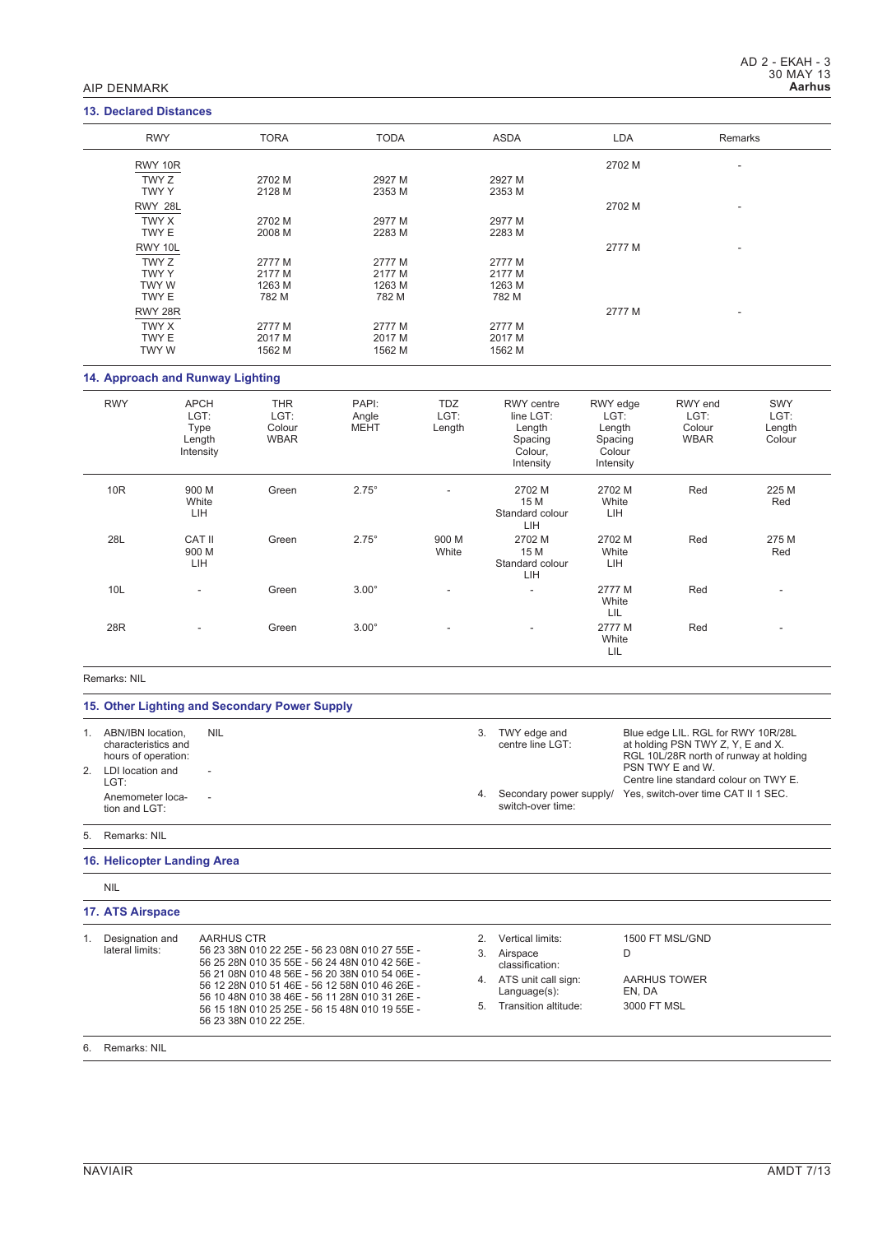# AIP DENMARK

# **13. Declared Distances**

| <b>RWY</b>   | <b>TORA</b> | <b>TODA</b> | ASDA   | <b>LDA</b> | Remarks |  |
|--------------|-------------|-------------|--------|------------|---------|--|
| RWY 10R      |             |             |        | 2702 M     | ۰.      |  |
| TWY Z        | 2702 M      | 2927 M      | 2927 M |            |         |  |
| TWY Y        | 2128 M      | 2353 M      | 2353 M |            |         |  |
| RWY 28L      |             |             |        | 2702 M     | ٠       |  |
| TWY X        | 2702 M      | 2977 M      | 2977 M |            |         |  |
| TWY E        | 2008 M      | 2283 M      | 2283 M |            |         |  |
| RWY 10L      |             |             |        | 2777 M     | ۰.      |  |
| TWY Z        | 2777 M      | 2777 M      | 2777 M |            |         |  |
| <b>TWY Y</b> | 2177 M      | 2177 M      | 2177 M |            |         |  |
| <b>TWY W</b> | 1263 M      | 1263 M      | 1263 M |            |         |  |
| TWY E        | 782 M       | 782 M       | 782 M  |            |         |  |
| RWY 28R      |             |             |        | 2777 M     | ٠       |  |
| TWY X        | 2777 M      | 2777 M      | 2777 M |            |         |  |
| TWY E        | 2017 M      | 2017 M      | 2017 M |            |         |  |
| <b>TWY W</b> | 1562 M      | 1562 M      | 1562 M |            |         |  |

# **14. Approach and Runway Lighting**

| <b>RWY</b>      | <b>APCH</b><br>LGT:<br>Type<br>Length<br>Intensity | <b>THR</b><br>LGT:<br>Colour<br><b>WBAR</b> | PAPI:<br>Angle<br><b>MEHT</b> | <b>TDZ</b><br>LGT:<br>Length | <b>RWY</b> centre<br>line LGT:<br>Length<br>Spacing<br>Colour,<br>Intensity | RWY edge<br>LGT:<br>Length<br>Spacing<br>Colour<br>Intensity | RWY end<br>LGT:<br>Colour<br><b>WBAR</b> | <b>SWY</b><br>LGT:<br>Length<br>Colour |
|-----------------|----------------------------------------------------|---------------------------------------------|-------------------------------|------------------------------|-----------------------------------------------------------------------------|--------------------------------------------------------------|------------------------------------------|----------------------------------------|
| 10R             | 900 M<br>White<br>LIH                              | Green                                       | $2.75^\circ$                  | ۰.                           | 2702 M<br>15 M<br>Standard colour<br>LIH                                    | 2702 M<br>White<br>LІН                                       | Red                                      | 225 M<br>Red                           |
| 28L             | CAT II<br>900 M<br>LIH                             | Green                                       | $2.75^\circ$                  | 900 M<br>White               | 2702 M<br>15 M<br>Standard colour<br>LIH                                    | 2702 M<br>White<br>LІН                                       | Red                                      | 275 M<br>Red                           |
| 10 <sub>L</sub> | $\overline{\phantom{a}}$                           | Green                                       | $3.00^\circ$                  | $\overline{\phantom{a}}$     | ٠                                                                           | 2777 M<br>White<br>LIL                                       | Red                                      | $\overline{\phantom{a}}$               |
| 28R             | $\overline{\phantom{a}}$                           | Green                                       | $3.00^\circ$                  | ۰.                           | ٠                                                                           | 2777 M<br>White<br>LIL                                       | Red                                      | $\overline{\phantom{a}}$               |

## Remarks: NIL

# **15. Other Lighting and Secondary Power Supply**

| ABN/IBN location.<br>characteristics and<br>hours of operation: | <b>NIL</b> | 3. | TWY edge and<br>centre line LGT: | Blue edge LIL. RGL for RWY 10R/28L<br>at holding PSN TWY Z, Y, E and X.<br>RGL 10L/28R north of runway at holding |
|-----------------------------------------------------------------|------------|----|----------------------------------|-------------------------------------------------------------------------------------------------------------------|
| 2. LDI location and<br>LGT:                                     | $\sim$     |    |                                  | PSN TWY E and W.<br>Centre line standard colour on TWY E.                                                         |
| Anemometer loca-<br>tion and $LGT$ :                            | $\sim$     |    | switch-over time:                | 4. Secondary power supply/ Yes, switch-over time CAT II 1 SEC.                                                    |

5. Remarks: NIL

# **16. Helicopter Landing Area**

|    | <b>NIL</b>              |                                                                                                                                                 |               |                                        |                        |  |
|----|-------------------------|-------------------------------------------------------------------------------------------------------------------------------------------------|---------------|----------------------------------------|------------------------|--|
|    | <b>17. ATS Airspace</b> |                                                                                                                                                 |               |                                        |                        |  |
|    | Designation and         | AARHUS CTR                                                                                                                                      | $\mathcal{P}$ | Vertical limits:                       | 1500 FT MSL/GND        |  |
|    | lateral limits:         | 56 23 38N 010 22 25E - 56 23 08N 010 27 55E -<br>56 25 28N 010 35 55E - 56 24 48N 010 42 56E -                                                  | 3.            | Airspace<br>classification:            | D                      |  |
|    |                         | 56 21 08N 010 48 56E - 56 20 38N 010 54 06E -<br>56 12 28N 010 51 46E - 56 12 58N 010 46 26E -<br>56 10 48N 010 38 46E - 56 11 28N 010 31 26E - | 4.            | ATS unit call sign:<br>$Language(s)$ : | AARHUS TOWER<br>EN. DA |  |
|    |                         | 56 15 18N 010 25 25E - 56 15 48N 010 19 55E -<br>56 23 38N 010 22 25E.                                                                          | 5             | Transition altitude:                   | 3000 FT MSL            |  |
| 6. | Remarks: NIL            |                                                                                                                                                 |               |                                        |                        |  |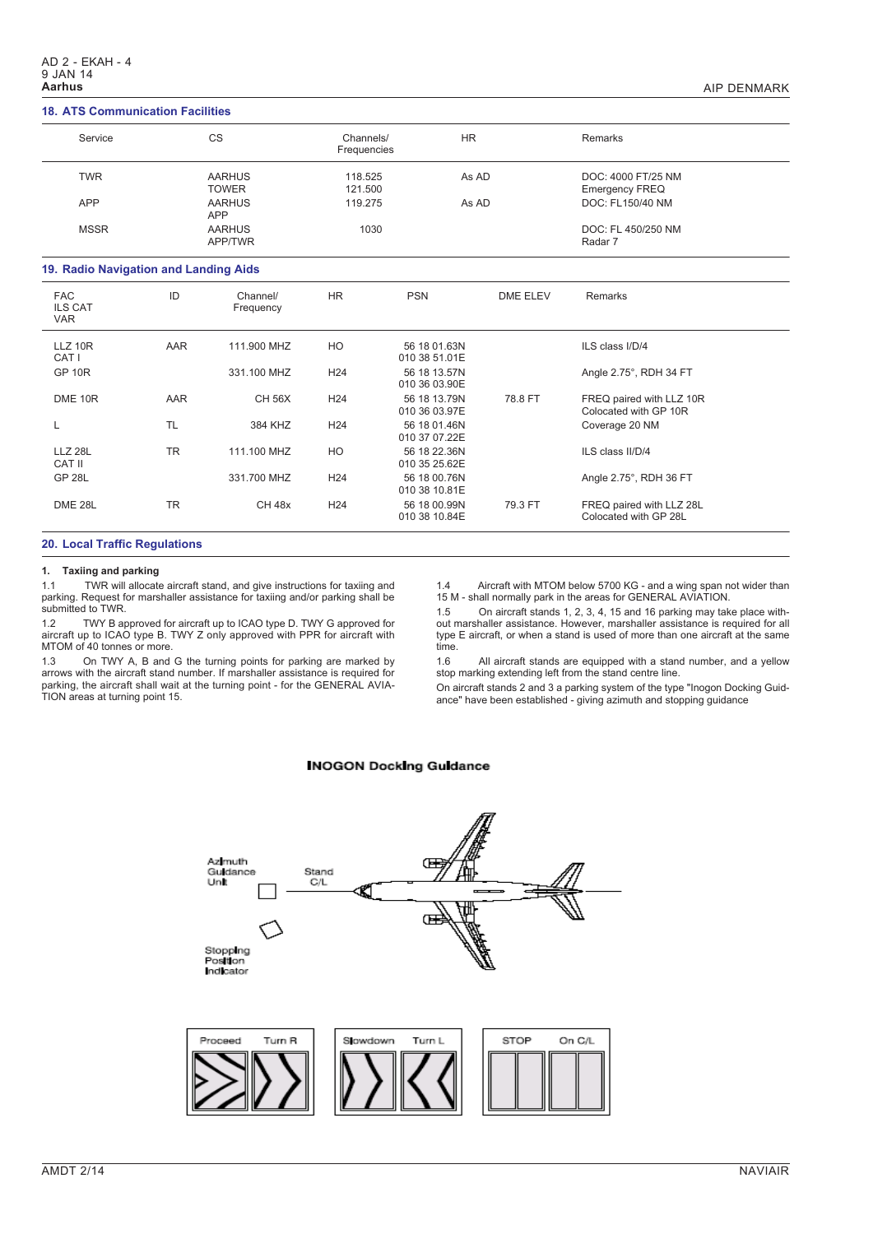## **18. ATS Communication Facilities**

| $19.719$ voinnanvaavii Lavinuvo |                               |                          |           |                                      |  |
|---------------------------------|-------------------------------|--------------------------|-----------|--------------------------------------|--|
| Service                         | CS                            | Channels/<br>Frequencies | <b>HR</b> | Remarks                              |  |
| <b>TWR</b>                      | <b>AARHUS</b><br><b>TOWER</b> | 118.525<br>121.500       | As AD     | DOC: 4000 FT/25 NM<br>Emergency FREQ |  |
| <b>APP</b>                      | <b>AARHUS</b><br><b>APP</b>   | 119.275                  | As AD     | DOC: FL150/40 NM                     |  |
| <b>MSSR</b>                     | <b>AARHUS</b><br>APP/TWR      | 1030                     |           | DOC: FL 450/250 NM<br>Radar 7        |  |

## **19. Radio Navigation and Landing Aids**

| <b>FAC</b><br><b>ILS CAT</b><br><b>VAR</b> | ID        | Channel/<br>Frequency | <b>HR</b>       | <b>PSN</b>                    | DME ELEV | Remarks                                           |
|--------------------------------------------|-----------|-----------------------|-----------------|-------------------------------|----------|---------------------------------------------------|
| $LLZ$ 10 $R$<br>CAT <sub>I</sub>           | AAR       | 111,900 MHZ           | HO.             | 56 18 01.63N<br>010 38 51.01E |          | ILS class I/D/4                                   |
| <b>GP 10R</b>                              |           | 331.100 MHZ           | H <sub>24</sub> | 56 18 13.57N<br>010 36 03.90E |          | Angle 2.75°, RDH 34 FT                            |
| DME <sub>10R</sub>                         | AAR       | <b>CH 56X</b>         | H <sub>24</sub> | 56 18 13.79N<br>010 36 03.97E | 78.8 FT  | FREQ paired with LLZ 10R<br>Colocated with GP 10R |
|                                            | <b>TL</b> | 384 KHZ               | H <sub>24</sub> | 56 18 01.46N<br>010 37 07.22E |          | Coverage 20 NM                                    |
| <b>LLZ 28L</b><br>CAT II                   | <b>TR</b> | 111.100 MHZ           | HO              | 56 18 22.36N<br>010 35 25.62E |          | ILS class II/D/4                                  |
| <b>GP 28L</b>                              |           | 331.700 MHZ           | H <sub>24</sub> | 56 18 00.76N<br>010 38 10.81E |          | Angle 2.75°, RDH 36 FT                            |
| <b>DME 28L</b>                             | <b>TR</b> | <b>CH 48x</b>         | H <sub>24</sub> | 56 18 00.99N<br>010 38 10.84E | 79.3 FT  | FREQ paired with LLZ 28L<br>Colocated with GP 28L |

## **20. Local Traffic Regulations**

### **1. Taxiing and parking**

1.1 TWR will allocate aircraft stand, and give instructions for taxiing and parking. Request for marshaller assistance for taxiing and/or parking shall be submitted to TWR.

1.2 TWY B approved for aircraft up to ICAO type D. TWY G approved for aircraft up to ICAO type B. TWY Z only approved with PPR for aircraft with MTOM of 40 tonnes or more.

1.3 On TWY A, B and G the turning points for parking are marked by arrows with the aircraft stand number. If marshaller assistance is required for parking, the aircraft shall wait at the turning point - for the GENERAL AVIA-TION areas at turning point 15.

1.4 Aircraft with MTOM below 5700 KG - and a wing span not wider than 15 M - shall normally park in the areas for GENERAL AVIATION.

1.5 On aircraft stands 1, 2, 3, 4, 15 and 16 parking may take place without marshaller assistance. However, marshaller assistance is required for all type E aircraft, or when a stand is used of more than one aircraft at the same time.

1.6 All aircraft stands are equipped with a stand number, and a yellow stop marking extending left from the stand centre line.

On aircraft stands 2 and 3 a parking system of the type "Inogon Docking Guidance" have been established - giving azimuth and stopping guidance

## **INOGON Docking Guidance**